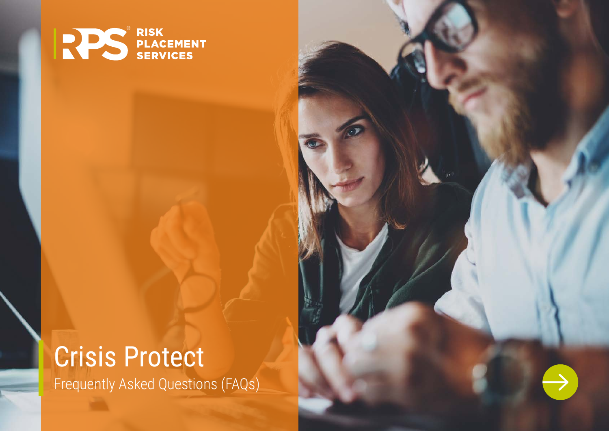

# Crisis Protect

Frequently Asked Questions (FAQs)

CRISIS PROTECTIVE AND RELEASED FACILITY OF THE CRISIS PROTECTIVE AND ARRANGEMENT CONTINUES.

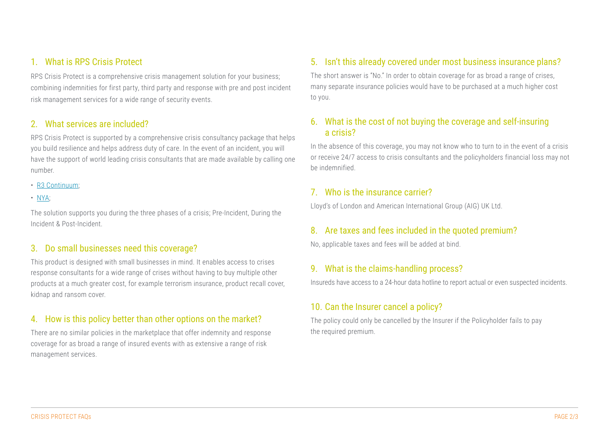## 1. What is RPS Crisis Protect

RPS Crisis Protect is a comprehensive crisis management solution for your business; combining indemnities for first party, third party and response with pre and post incident risk management services for a wide range of security events.

#### 2. What services are included?

RPS Crisis Protect is supported by a comprehensive crisis consultancy package that helps you build resilience and helps address duty of care. In the event of an incident, you will have the support of world leading crisis consultants that are made available by calling one number.

• [R3 Continuum](https://r3c.com/);

• [NYA](http://www.nyarisk.com/);

The solution supports you during the three phases of a crisis; Pre-Incident, During the Incident & Post-Incident.

## 3. Do small businesses need this coverage?

This product is designed with small businesses in mind. It enables access to crises response consultants for a wide range of crises without having to buy multiple other products at a much greater cost, for example terrorism insurance, product recall cover, kidnap and ransom cover.

# 4. How is this policy better than other options on the market?

There are no similar policies in the marketplace that offer indemnity and response coverage for as broad a range of insured events with as extensive a range of risk management services.

# 5. Isn't this already covered under most business insurance plans?

The short answer is "No." In order to obtain coverage for as broad a range of crises, many separate insurance policies would have to be purchased at a much higher cost to you.

# 6. What is the cost of not buying the coverage and self-insuring a crisis?

In the absence of this coverage, you may not know who to turn to in the event of a crisis or receive 24/7 access to crisis consultants and the policyholders financial loss may not be indemnified.

#### 7. Who is the insurance carrier?

Lloyd's of London and American International Group (AIG) UK Ltd.

## 8. Are taxes and fees included in the quoted premium?

No, applicable taxes and fees will be added at bind.

## 9. What is the claims-handling process?

Insureds have access to a 24-hour data hotline to report actual or even suspected incidents.

## 10. Can the Insurer cancel a policy?

The policy could only be cancelled by the Insurer if the Policyholder fails to pay the required premium.